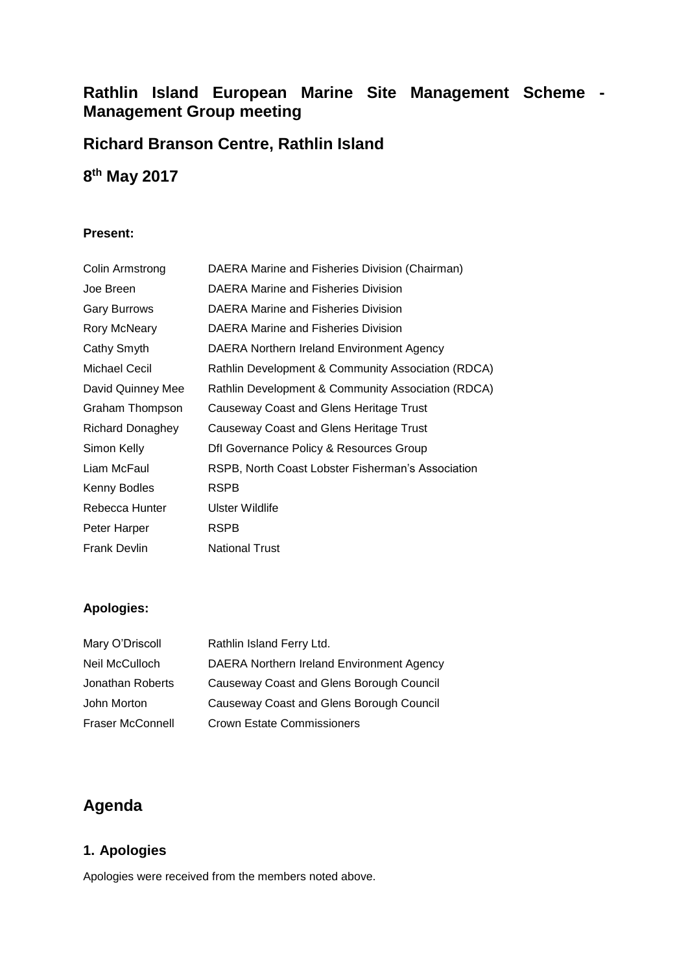# **Rathlin Island European Marine Site Management Scheme - Management Group meeting**

# **Richard Branson Centre, Rathlin Island**

# **8 th May 2017**

#### **Present:**

| Colin Armstrong     | DAERA Marine and Fisheries Division (Chairman)     |
|---------------------|----------------------------------------------------|
| Joe Breen           | DAERA Marine and Fisheries Division                |
| <b>Gary Burrows</b> | DAERA Marine and Fisheries Division                |
| Rory McNeary        | DAERA Marine and Fisheries Division                |
| Cathy Smyth         | DAERA Northern Ireland Environment Agency          |
| Michael Cecil       | Rathlin Development & Community Association (RDCA) |
| David Quinney Mee   | Rathlin Development & Community Association (RDCA) |
| Graham Thompson     | Causeway Coast and Glens Heritage Trust            |
| Richard Donaghey    | Causeway Coast and Glens Heritage Trust            |
| Simon Kelly         | Dfl Governance Policy & Resources Group            |
| Liam McFaul         | RSPB, North Coast Lobster Fisherman's Association  |
| Kenny Bodles        | <b>RSPB</b>                                        |
| Rebecca Hunter      | Ulster Wildlife                                    |
| Peter Harper        | <b>RSPB</b>                                        |
| <b>Frank Devlin</b> | <b>National Trust</b>                              |
|                     |                                                    |

# **Apologies:**

| Mary O'Driscoll         | Rathlin Island Ferry Ltd.                 |
|-------------------------|-------------------------------------------|
| Neil McCulloch          | DAERA Northern Ireland Environment Agency |
| Jonathan Roberts        | Causeway Coast and Glens Borough Council  |
| John Morton             | Causeway Coast and Glens Borough Council  |
| <b>Fraser McConnell</b> | <b>Crown Estate Commissioners</b>         |

# **Agenda**

# **1. Apologies**

Apologies were received from the members noted above.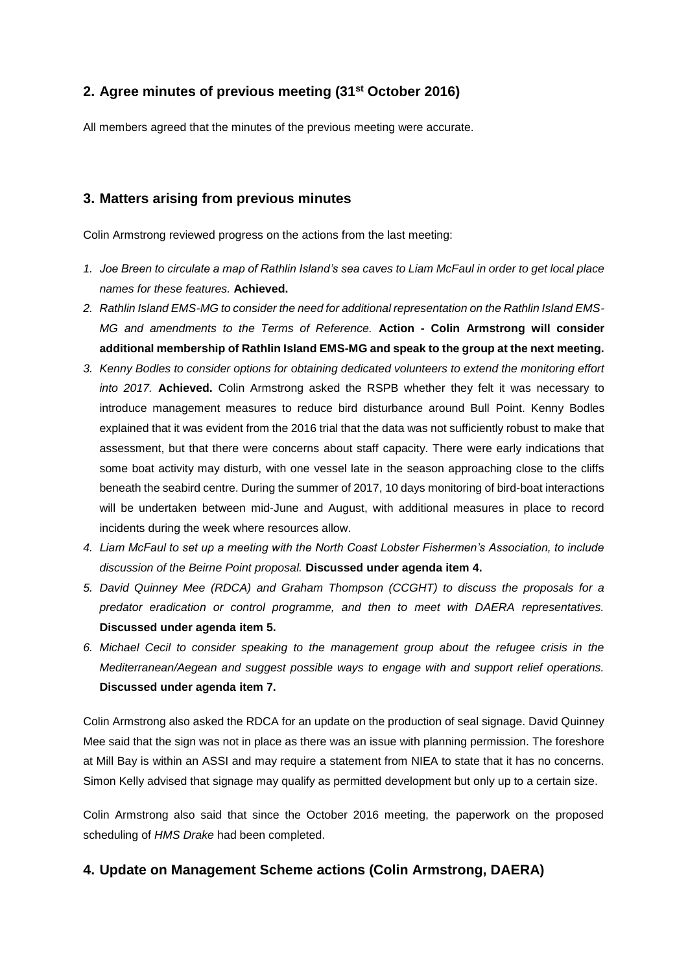# **2. Agree minutes of previous meeting (31st October 2016)**

All members agreed that the minutes of the previous meeting were accurate.

### **3. Matters arising from previous minutes**

Colin Armstrong reviewed progress on the actions from the last meeting:

- *1. Joe Breen to circulate a map of Rathlin Island's sea caves to Liam McFaul in order to get local place names for these features.* **Achieved.**
- *2. Rathlin Island EMS-MG to consider the need for additional representation on the Rathlin Island EMS-MG and amendments to the Terms of Reference.* **Action - Colin Armstrong will consider additional membership of Rathlin Island EMS-MG and speak to the group at the next meeting.**
- *3. Kenny Bodles to consider options for obtaining dedicated volunteers to extend the monitoring effort into 2017.* **Achieved.** Colin Armstrong asked the RSPB whether they felt it was necessary to introduce management measures to reduce bird disturbance around Bull Point. Kenny Bodles explained that it was evident from the 2016 trial that the data was not sufficiently robust to make that assessment, but that there were concerns about staff capacity. There were early indications that some boat activity may disturb, with one vessel late in the season approaching close to the cliffs beneath the seabird centre. During the summer of 2017, 10 days monitoring of bird-boat interactions will be undertaken between mid-June and August, with additional measures in place to record incidents during the week where resources allow.
- *4. Liam McFaul to set up a meeting with the North Coast Lobster Fishermen's Association, to include discussion of the Beirne Point proposal.* **Discussed under agenda item 4.**
- *5. David Quinney Mee (RDCA) and Graham Thompson (CCGHT) to discuss the proposals for a predator eradication or control programme, and then to meet with DAERA representatives.* **Discussed under agenda item 5.**
- *6. Michael Cecil to consider speaking to the management group about the refugee crisis in the Mediterranean/Aegean and suggest possible ways to engage with and support relief operations.* **Discussed under agenda item 7.**

Colin Armstrong also asked the RDCA for an update on the production of seal signage. David Quinney Mee said that the sign was not in place as there was an issue with planning permission. The foreshore at Mill Bay is within an ASSI and may require a statement from NIEA to state that it has no concerns. Simon Kelly advised that signage may qualify as permitted development but only up to a certain size.

Colin Armstrong also said that since the October 2016 meeting, the paperwork on the proposed scheduling of *HMS Drake* had been completed.

### **4. Update on Management Scheme actions (Colin Armstrong, DAERA)**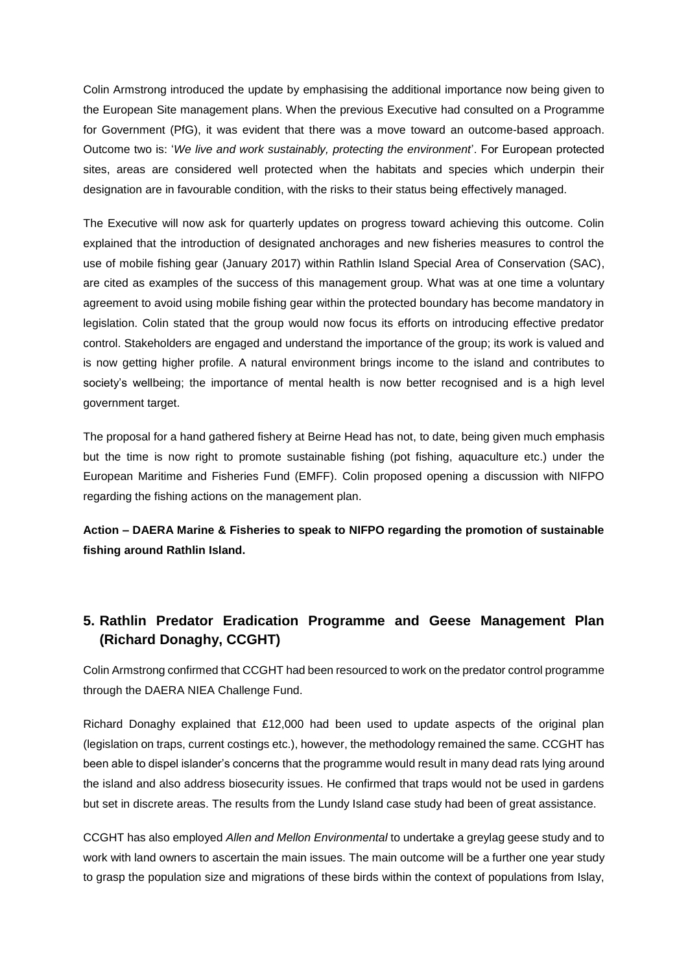Colin Armstrong introduced the update by emphasising the additional importance now being given to the European Site management plans. When the previous Executive had consulted on a Programme for Government (PfG), it was evident that there was a move toward an outcome-based approach. Outcome two is: '*We live and work sustainably, protecting the environment*'. For European protected sites, areas are considered well protected when the habitats and species which underpin their designation are in favourable condition, with the risks to their status being effectively managed.

The Executive will now ask for quarterly updates on progress toward achieving this outcome. Colin explained that the introduction of designated anchorages and new fisheries measures to control the use of mobile fishing gear (January 2017) within Rathlin Island Special Area of Conservation (SAC), are cited as examples of the success of this management group. What was at one time a voluntary agreement to avoid using mobile fishing gear within the protected boundary has become mandatory in legislation. Colin stated that the group would now focus its efforts on introducing effective predator control. Stakeholders are engaged and understand the importance of the group; its work is valued and is now getting higher profile. A natural environment brings income to the island and contributes to society's wellbeing; the importance of mental health is now better recognised and is a high level government target.

The proposal for a hand gathered fishery at Beirne Head has not, to date, being given much emphasis but the time is now right to promote sustainable fishing (pot fishing, aquaculture etc.) under the European Maritime and Fisheries Fund (EMFF). Colin proposed opening a discussion with NIFPO regarding the fishing actions on the management plan.

**Action – DAERA Marine & Fisheries to speak to NIFPO regarding the promotion of sustainable fishing around Rathlin Island.**

# **5. Rathlin Predator Eradication Programme and Geese Management Plan (Richard Donaghy, CCGHT)**

Colin Armstrong confirmed that CCGHT had been resourced to work on the predator control programme through the DAERA NIEA Challenge Fund.

Richard Donaghy explained that £12,000 had been used to update aspects of the original plan (legislation on traps, current costings etc.), however, the methodology remained the same. CCGHT has been able to dispel islander's concerns that the programme would result in many dead rats lying around the island and also address biosecurity issues. He confirmed that traps would not be used in gardens but set in discrete areas. The results from the Lundy Island case study had been of great assistance.

CCGHT has also employed *Allen and Mellon Environmental* to undertake a greylag geese study and to work with land owners to ascertain the main issues. The main outcome will be a further one year study to grasp the population size and migrations of these birds within the context of populations from Islay,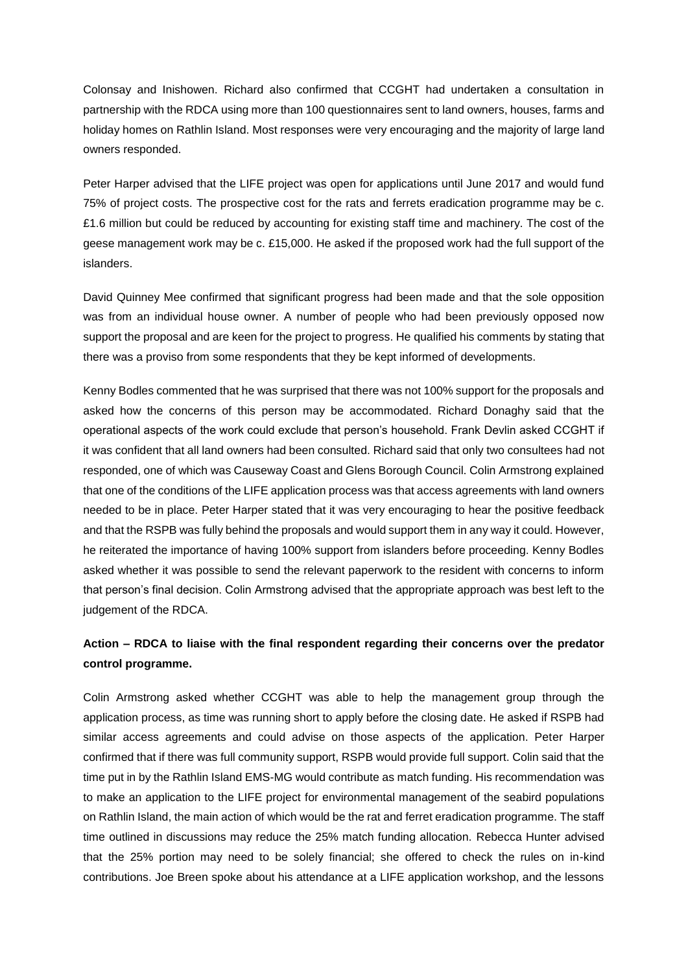Colonsay and Inishowen. Richard also confirmed that CCGHT had undertaken a consultation in partnership with the RDCA using more than 100 questionnaires sent to land owners, houses, farms and holiday homes on Rathlin Island. Most responses were very encouraging and the majority of large land owners responded.

Peter Harper advised that the LIFE project was open for applications until June 2017 and would fund 75% of project costs. The prospective cost for the rats and ferrets eradication programme may be c. £1.6 million but could be reduced by accounting for existing staff time and machinery. The cost of the geese management work may be c. £15,000. He asked if the proposed work had the full support of the islanders.

David Quinney Mee confirmed that significant progress had been made and that the sole opposition was from an individual house owner. A number of people who had been previously opposed now support the proposal and are keen for the project to progress. He qualified his comments by stating that there was a proviso from some respondents that they be kept informed of developments.

Kenny Bodles commented that he was surprised that there was not 100% support for the proposals and asked how the concerns of this person may be accommodated. Richard Donaghy said that the operational aspects of the work could exclude that person's household. Frank Devlin asked CCGHT if it was confident that all land owners had been consulted. Richard said that only two consultees had not responded, one of which was Causeway Coast and Glens Borough Council. Colin Armstrong explained that one of the conditions of the LIFE application process was that access agreements with land owners needed to be in place. Peter Harper stated that it was very encouraging to hear the positive feedback and that the RSPB was fully behind the proposals and would support them in any way it could. However, he reiterated the importance of having 100% support from islanders before proceeding. Kenny Bodles asked whether it was possible to send the relevant paperwork to the resident with concerns to inform that person's final decision. Colin Armstrong advised that the appropriate approach was best left to the judgement of the RDCA.

## **Action – RDCA to liaise with the final respondent regarding their concerns over the predator control programme.**

Colin Armstrong asked whether CCGHT was able to help the management group through the application process, as time was running short to apply before the closing date. He asked if RSPB had similar access agreements and could advise on those aspects of the application. Peter Harper confirmed that if there was full community support, RSPB would provide full support. Colin said that the time put in by the Rathlin Island EMS-MG would contribute as match funding. His recommendation was to make an application to the LIFE project for environmental management of the seabird populations on Rathlin Island, the main action of which would be the rat and ferret eradication programme. The staff time outlined in discussions may reduce the 25% match funding allocation. Rebecca Hunter advised that the 25% portion may need to be solely financial; she offered to check the rules on in-kind contributions. Joe Breen spoke about his attendance at a LIFE application workshop, and the lessons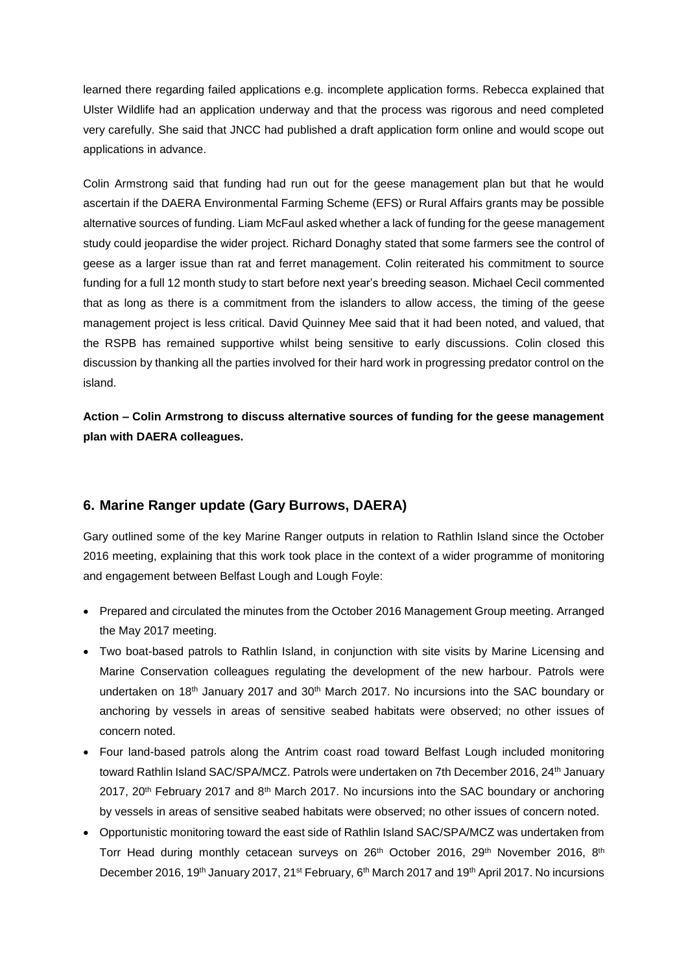learned there regarding failed applications e.g. incomplete application forms. Rebecca explained that Ulster Wildlife had an application underway and that the process was rigorous and need completed very carefully. She said that JNCC had published a draft application form online and would scope out applications in advance.

Colin Armstrong said that funding had run out for the geese management plan but that he would ascertain if the DAERA Environmental Farming Scheme (EFS) or Rural Affairs grants may be possible alternative sources of funding. Liam McFaul asked whether a lack of funding for the geese management study could jeopardise the wider project. Richard Donaghy stated that some farmers see the control of geese as a larger issue than rat and ferret management. Colin reiterated his commitment to source funding for a full 12 month study to start before next year's breeding season. Michael Cecil commented that as long as there is a commitment from the islanders to allow access, the timing of the geese management project is less critical. David Quinney Mee said that it had been noted, and valued, that the RSPB has remained supportive whilst being sensitive to early discussions. Colin closed this discussion by thanking all the parties involved for their hard work in progressing predator control on the island.

**Action – Colin Armstrong to discuss alternative sources of funding for the geese management plan with DAERA colleagues.**

### **6. Marine Ranger update (Gary Burrows, DAERA)**

Gary outlined some of the key Marine Ranger outputs in relation to Rathlin Island since the October 2016 meeting, explaining that this work took place in the context of a wider programme of monitoring and engagement between Belfast Lough and Lough Foyle:

- Prepared and circulated the minutes from the October 2016 Management Group meeting. Arranged the May 2017 meeting.
- Two boat-based patrols to Rathlin Island, in conjunction with site visits by Marine Licensing and Marine Conservation colleagues regulating the development of the new harbour. Patrols were undertaken on 18<sup>th</sup> January 2017 and 30<sup>th</sup> March 2017. No incursions into the SAC boundary or anchoring by vessels in areas of sensitive seabed habitats were observed; no other issues of concern noted.
- Four land-based patrols along the Antrim coast road toward Belfast Lough included monitoring toward Rathlin Island SAC/SPA/MCZ. Patrols were undertaken on 7th December 2016, 24<sup>th</sup> January 2017, 20<sup>th</sup> February 2017 and 8<sup>th</sup> March 2017. No incursions into the SAC boundary or anchoring by vessels in areas of sensitive seabed habitats were observed; no other issues of concern noted.
- Opportunistic monitoring toward the east side of Rathlin Island SAC/SPA/MCZ was undertaken from Torr Head during monthly cetacean surveys on 26<sup>th</sup> October 2016, 29<sup>th</sup> November 2016, 8<sup>th</sup> December 2016, 19<sup>th</sup> January 2017, 21<sup>st</sup> February, 6<sup>th</sup> March 2017 and 19<sup>th</sup> April 2017. No incursions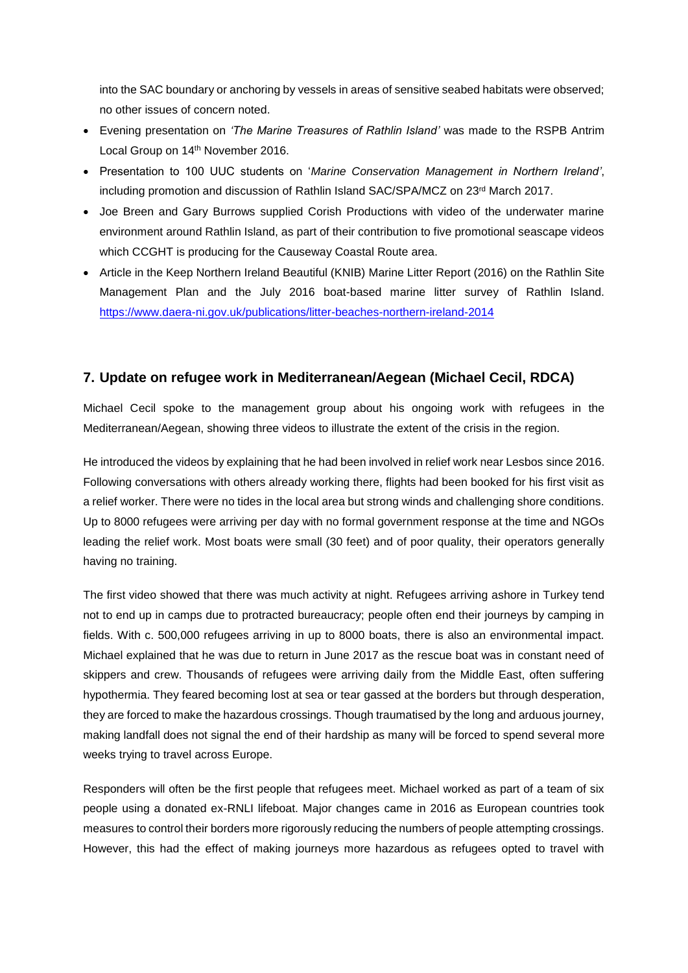into the SAC boundary or anchoring by vessels in areas of sensitive seabed habitats were observed; no other issues of concern noted.

- Evening presentation on *'The Marine Treasures of Rathlin Island'* was made to the RSPB Antrim Local Group on 14th November 2016.
- Presentation to 100 UUC students on '*Marine Conservation Management in Northern Ireland'*, including promotion and discussion of Rathlin Island  $SAC/SPA/MCZ$  on  $23<sup>rd</sup>$  March 2017.
- Joe Breen and Gary Burrows supplied Corish Productions with video of the underwater marine environment around Rathlin Island, as part of their contribution to five promotional seascape videos which CCGHT is producing for the Causeway Coastal Route area.
- Article in the Keep Northern Ireland Beautiful (KNIB) Marine Litter Report (2016) on the Rathlin Site Management Plan and the July 2016 boat-based marine litter survey of Rathlin Island. <https://www.daera-ni.gov.uk/publications/litter-beaches-northern-ireland-2014>

## **7. Update on refugee work in Mediterranean/Aegean (Michael Cecil, RDCA)**

Michael Cecil spoke to the management group about his ongoing work with refugees in the Mediterranean/Aegean, showing three videos to illustrate the extent of the crisis in the region.

He introduced the videos by explaining that he had been involved in relief work near Lesbos since 2016. Following conversations with others already working there, flights had been booked for his first visit as a relief worker. There were no tides in the local area but strong winds and challenging shore conditions. Up to 8000 refugees were arriving per day with no formal government response at the time and NGOs leading the relief work. Most boats were small (30 feet) and of poor quality, their operators generally having no training.

The first video showed that there was much activity at night. Refugees arriving ashore in Turkey tend not to end up in camps due to protracted bureaucracy; people often end their journeys by camping in fields. With c. 500,000 refugees arriving in up to 8000 boats, there is also an environmental impact. Michael explained that he was due to return in June 2017 as the rescue boat was in constant need of skippers and crew. Thousands of refugees were arriving daily from the Middle East, often suffering hypothermia. They feared becoming lost at sea or tear gassed at the borders but through desperation, they are forced to make the hazardous crossings. Though traumatised by the long and arduous journey, making landfall does not signal the end of their hardship as many will be forced to spend several more weeks trying to travel across Europe.

Responders will often be the first people that refugees meet. Michael worked as part of a team of six people using a donated ex-RNLI lifeboat. Major changes came in 2016 as European countries took measures to control their borders more rigorously reducing the numbers of people attempting crossings. However, this had the effect of making journeys more hazardous as refugees opted to travel with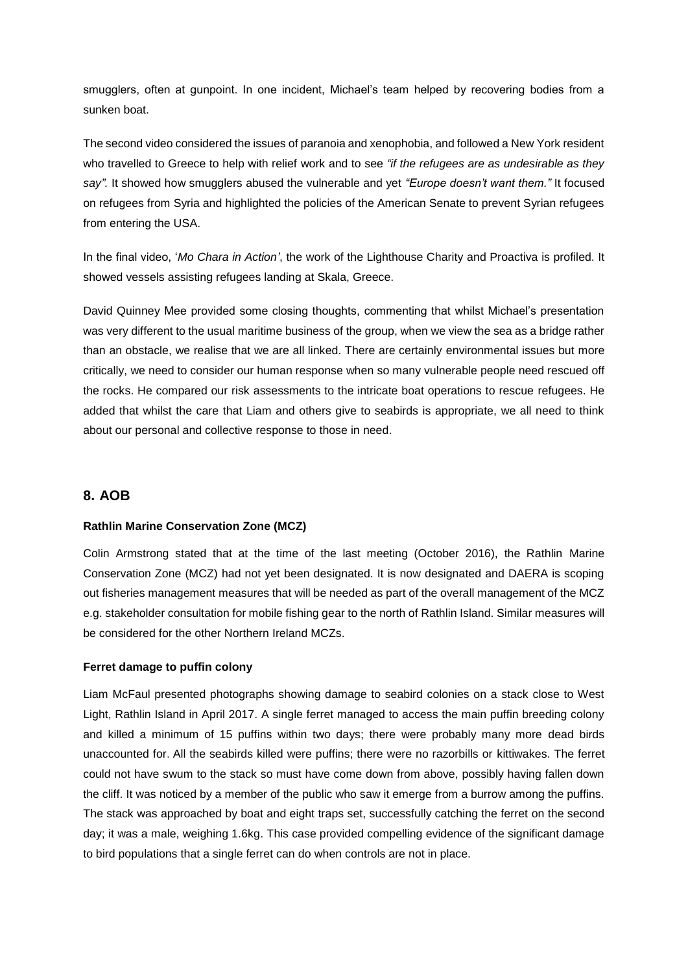smugglers, often at gunpoint. In one incident, Michael's team helped by recovering bodies from a sunken boat.

The second video considered the issues of paranoia and xenophobia, and followed a New York resident who travelled to Greece to help with relief work and to see *"if the refugees are as undesirable as they say".* It showed how smugglers abused the vulnerable and yet *"Europe doesn't want them."* It focused on refugees from Syria and highlighted the policies of the American Senate to prevent Syrian refugees from entering the USA.

In the final video, '*Mo Chara in Action'*, the work of the Lighthouse Charity and Proactiva is profiled. It showed vessels assisting refugees landing at Skala, Greece.

David Quinney Mee provided some closing thoughts, commenting that whilst Michael's presentation was very different to the usual maritime business of the group, when we view the sea as a bridge rather than an obstacle, we realise that we are all linked. There are certainly environmental issues but more critically, we need to consider our human response when so many vulnerable people need rescued off the rocks. He compared our risk assessments to the intricate boat operations to rescue refugees. He added that whilst the care that Liam and others give to seabirds is appropriate, we all need to think about our personal and collective response to those in need.

#### **8. AOB**

#### **Rathlin Marine Conservation Zone (MCZ)**

Colin Armstrong stated that at the time of the last meeting (October 2016), the Rathlin Marine Conservation Zone (MCZ) had not yet been designated. It is now designated and DAERA is scoping out fisheries management measures that will be needed as part of the overall management of the MCZ e.g. stakeholder consultation for mobile fishing gear to the north of Rathlin Island. Similar measures will be considered for the other Northern Ireland MCZs.

#### **Ferret damage to puffin colony**

Liam McFaul presented photographs showing damage to seabird colonies on a stack close to West Light, Rathlin Island in April 2017. A single ferret managed to access the main puffin breeding colony and killed a minimum of 15 puffins within two days; there were probably many more dead birds unaccounted for. All the seabirds killed were puffins; there were no razorbills or kittiwakes. The ferret could not have swum to the stack so must have come down from above, possibly having fallen down the cliff. It was noticed by a member of the public who saw it emerge from a burrow among the puffins. The stack was approached by boat and eight traps set, successfully catching the ferret on the second day; it was a male, weighing 1.6kg. This case provided compelling evidence of the significant damage to bird populations that a single ferret can do when controls are not in place.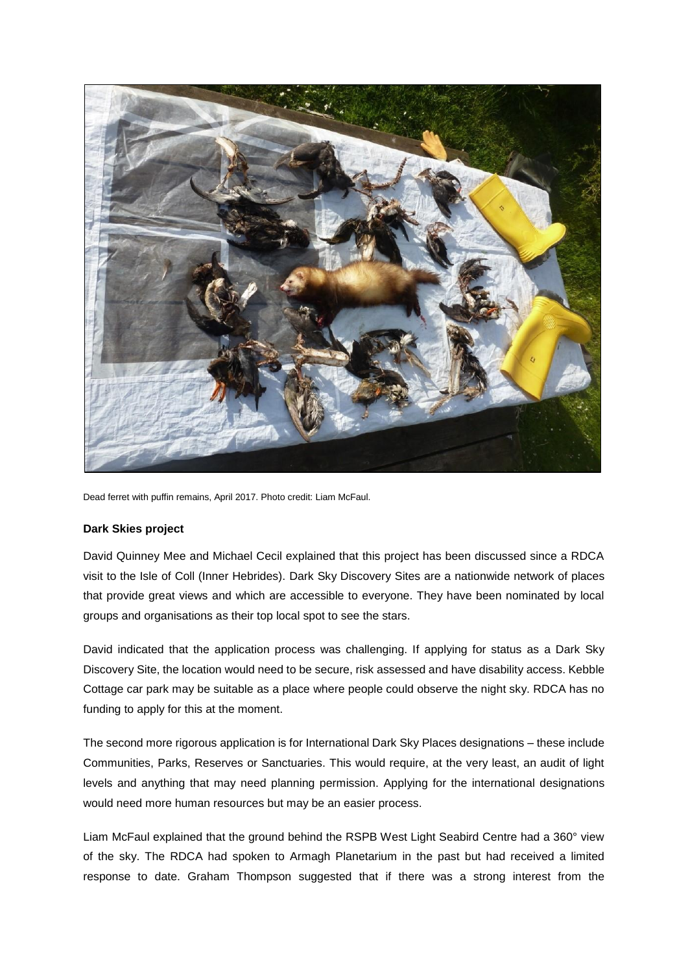

Dead ferret with puffin remains, April 2017. Photo credit: Liam McFaul.

#### **Dark Skies project**

David Quinney Mee and Michael Cecil explained that this project has been discussed since a RDCA visit to the Isle of Coll (Inner Hebrides). Dark Sky Discovery Sites are a nationwide network of places that provide great views and which are accessible to everyone. They have been nominated by local groups and organisations as their top local spot to see the stars.

David indicated that the application process was challenging. If applying for status as a Dark Sky Discovery Site, the location would need to be secure, risk assessed and have disability access. Kebble Cottage car park may be suitable as a place where people could observe the night sky. RDCA has no funding to apply for this at the moment.

The second more rigorous application is for International Dark Sky Places designations – these include Communities, Parks, Reserves or Sanctuaries. This would require, at the very least, an audit of light levels and anything that may need planning permission. Applying for the international designations would need more human resources but may be an easier process.

Liam McFaul explained that the ground behind the RSPB West Light Seabird Centre had a 360° view of the sky. The RDCA had spoken to Armagh Planetarium in the past but had received a limited response to date. Graham Thompson suggested that if there was a strong interest from the